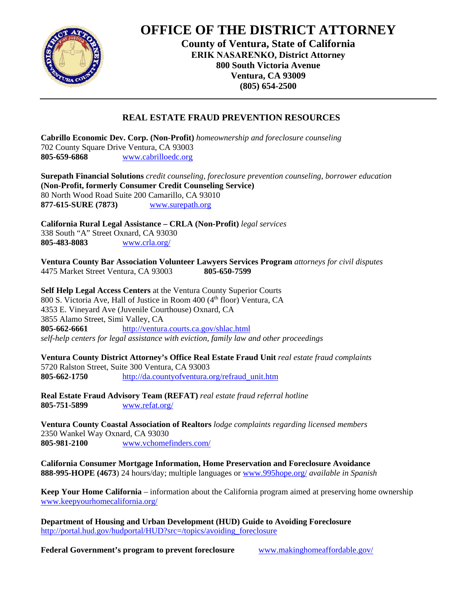

## **OFFICE OF THE DISTRICT ATTORNEY**

**County of Ventura, State of California ERIK NASARENKO, District Attorney 800 South Victoria Avenue Ventura, CA 93009 (805) 654-2500**

## **REAL ESTATE FRAUD PREVENTION RESOURCES**

**Cabrillo Economic Dev. Corp. (Non-Profit)** *homeownership and foreclosure counseling* 702 County Square Drive Ventura, CA 93003 **805-659-6868** www.cabrilloedc.org

**Surepath Financial Solutions** *credit counseling, foreclosure prevention counseling, borrower education* **(Non-Profit, formerly Consumer Credit Counseling Service)**  80 North Wood Road Suite 200 Camarillo, CA 93010 **877-615-SURE (7873)** www.surepath.org

**California Rural Legal Assistance – CRLA (Non-Profit)** *legal services* 338 South "A" Street Oxnard, CA 93030 **805-483-8083** www.crla.org/

**Ventura County Bar Association Volunteer Lawyers Services Program** *attorneys for civil disputes* 4475 Market Street Ventura, CA 93003 **805-650-7599** 

**Self Help Legal Access Centers** at the Ventura County Superior Courts 800 S. Victoria Ave, Hall of Justice in Room  $400 \, (4<sup>th</sup>$  floor) Ventura, CA 4353 E. Vineyard Ave (Juvenile Courthouse) Oxnard, CA 3855 Alamo Street, Simi Valley, CA **805-662-6661** http://ventura.courts.ca.gov/shlac.html *self-help centers for legal assistance with eviction, family law and other proceedings* 

**Ventura County District Attorney's Office Real Estate Fraud Unit** *real estate fraud complaints* 5720 Ralston Street, Suite 300 Ventura, CA 93003 **805-662-1750** http://da.countyofventura.org/refraud\_unit.htm

**Real Estate Fraud Advisory Team (REFAT)** *real estate fraud referral hotline*  **805-751-5899** www.refat.org/

**Ventura County Coastal Association of Realtors** *lodge complaints regarding licensed members*  2350 Wankel Way Oxnard, CA 93030 **805-981-2100** www.vchomefinders.com/

**California Consumer Mortgage Information, Home Preservation and Foreclosure Avoidance 888-995-HOPE (4673**) 24 hours/day; multiple languages or www.995hope.org/ *available in Spanish*

**Keep Your Home California** – information about the California program aimed at preserving home ownership www.keepyourhomecalifornia.org/

**Department of Housing and Urban Development (HUD) Guide to Avoiding Foreclosure** http://portal.hud.gov/hudportal/HUD?src=/topics/avoiding\_foreclosure

**Federal Government's program to prevent foreclosure** www.makinghomeaffordable.gov/